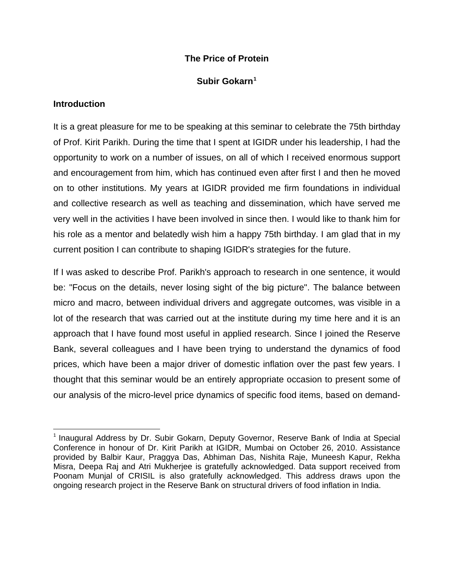# **The Price of Protein**

# **Subir Gokarn[1](#page-0-0)**

# **Introduction**

It is a great pleasure for me to be speaking at this seminar to celebrate the 75th birthday of Prof. Kirit Parikh. During the time that I spent at IGIDR under his leadership, I had the opportunity to work on a number of issues, on all of which I received enormous support and encouragement from him, which has continued even after first I and then he moved on to other institutions. My years at IGIDR provided me firm foundations in individual and collective research as well as teaching and dissemination, which have served me very well in the activities I have been involved in since then. I would like to thank him for his role as a mentor and belatedly wish him a happy 75th birthday. I am glad that in my current position I can contribute to shaping IGIDR's strategies for the future.

If I was asked to describe Prof. Parikh's approach to research in one sentence, it would be: "Focus on the details, never losing sight of the big picture". The balance between micro and macro, between individual drivers and aggregate outcomes, was visible in a lot of the research that was carried out at the institute during my time here and it is an approach that I have found most useful in applied research. Since I joined the Reserve Bank, several colleagues and I have been trying to understand the dynamics of food prices, which have been a major driver of domestic inflation over the past few years. I thought that this seminar would be an entirely appropriate occasion to present some of our analysis of the micro-level price dynamics of specific food items, based on demand-

<span id="page-0-0"></span> $1$  Inaugural Address by Dr. Subir Gokarn, Deputy Governor, Reserve Bank of India at Special Conference in honour of Dr. Kirit Parikh at IGIDR, Mumbai on October 26, 2010. Assistance provided by Balbir Kaur, Praggya Das, Abhiman Das, Nishita Raje, Muneesh Kapur, Rekha Misra, Deepa Raj and Atri Mukherjee is gratefully acknowledged. Data support received from Poonam Munjal of CRISIL is also gratefully acknowledged. This address draws upon the ongoing research project in the Reserve Bank on structural drivers of food inflation in India.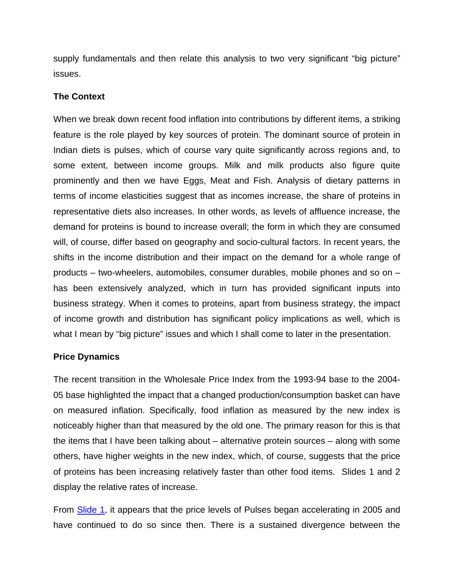supply fundamentals and then relate this analysis to two very significant "big picture" issues.

#### **The Context**

When we break down recent food inflation into contributions by different items, a striking feature is the role played by key sources of protein. The dominant source of protein in Indian diets is pulses, which of course vary quite significantly across regions and, to some extent, between income groups. Milk and milk products also figure quite prominently and then we have Eggs, Meat and Fish. Analysis of dietary patterns in terms of income elasticities suggest that as incomes increase, the share of proteins in representative diets also increases. In other words, as levels of affluence increase, the demand for proteins is bound to increase overall; the form in which they are consumed will, of course, differ based on geography and socio-cultural factors. In recent years, the shifts in the income distribution and their impact on the demand for a whole range of products – two-wheelers, automobiles, consumer durables, mobile phones and so on – has been extensively analyzed, which in turn has provided significant inputs into business strategy. When it comes to proteins, apart from business strategy, the impact of income growth and distribution has significant policy implications as well, which is what I mean by "big picture" issues and which I shall come to later in the presentation.

# **Price Dynamics**

The recent transition in the Wholesale Price Index from the 1993-94 base to the 2004- 05 base highlighted the impact that a changed production/consumption basket can have on measured inflation. Specifically, food inflation as measured by the new index is noticeably higher than that measured by the old one. The primary reason for this is that the items that I have been talking about – alternative protein sources – along with some others, have higher weights in the new index, which, of course, suggests that the price of proteins has been increasing relatively faster than other food items. Slides 1 and 2 display the relative rates of increase.

From [Slide 1](http://rbidocs.rbi.org.in/rdocs/content/PDFs/261010Slide_1.pdf), it appears that the price levels of Pulses began accelerating in 2005 and have continued to do so since then. There is a sustained divergence between the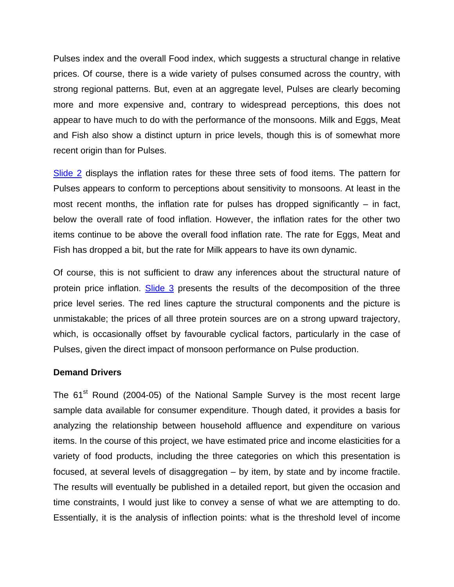Pulses index and the overall Food index, which suggests a structural change in relative prices. Of course, there is a wide variety of pulses consumed across the country, with strong regional patterns. But, even at an aggregate level, Pulses are clearly becoming more and more expensive and, contrary to widespread perceptions, this does not appear to have much to do with the performance of the monsoons. Milk and Eggs, Meat and Fish also show a distinct upturn in price levels, though this is of somewhat more recent origin than for Pulses.

[Slide 2](http://rbidocs.rbi.org.in/rdocs/content/PDFs/261010Slide_2.pdf) displays the inflation rates for these three sets of food items. The pattern for Pulses appears to conform to perceptions about sensitivity to monsoons. At least in the most recent months, the inflation rate for pulses has dropped significantly  $-$  in fact, below the overall rate of food inflation. However, the inflation rates for the other two items continue to be above the overall food inflation rate. The rate for Eggs, Meat and Fish has dropped a bit, but the rate for Milk appears to have its own dynamic.

Of course, this is not sufficient to draw any inferences about the structural nature of protein price inflation. [Slide 3](http://rbidocs.rbi.org.in/rdocs/content/PDFs/261010Slide_3.pdf) presents the results of the decomposition of the three price level series. The red lines capture the structural components and the picture is unmistakable; the prices of all three protein sources are on a strong upward trajectory, which, is occasionally offset by favourable cyclical factors, particularly in the case of Pulses, given the direct impact of monsoon performance on Pulse production.

#### **Demand Drivers**

The  $61<sup>st</sup>$  Round (2004-05) of the National Sample Survey is the most recent large sample data available for consumer expenditure. Though dated, it provides a basis for analyzing the relationship between household affluence and expenditure on various items. In the course of this project, we have estimated price and income elasticities for a variety of food products, including the three categories on which this presentation is focused, at several levels of disaggregation – by item, by state and by income fractile. The results will eventually be published in a detailed report, but given the occasion and time constraints, I would just like to convey a sense of what we are attempting to do. Essentially, it is the analysis of inflection points: what is the threshold level of income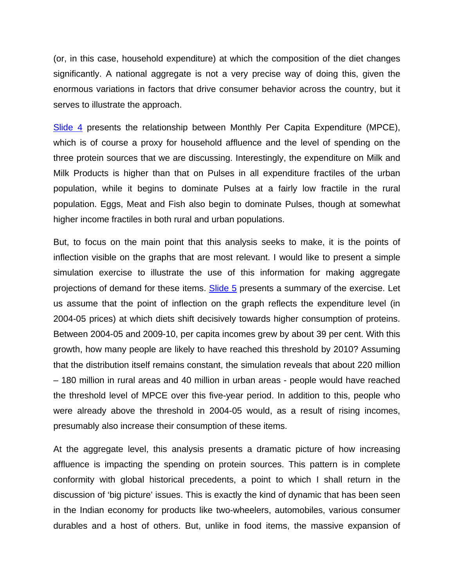(or, in this case, household expenditure) at which the composition of the diet changes significantly. A national aggregate is not a very precise way of doing this, given the enormous variations in factors that drive consumer behavior across the country, but it serves to illustrate the approach.

[Slide 4](http://rbidocs.rbi.org.in/rdocs/content/PDFs/261010Slide_4.pdf) presents the relationship between Monthly Per Capita Expenditure (MPCE), which is of course a proxy for household affluence and the level of spending on the three protein sources that we are discussing. Interestingly, the expenditure on Milk and Milk Products is higher than that on Pulses in all expenditure fractiles of the urban population, while it begins to dominate Pulses at a fairly low fractile in the rural population. Eggs, Meat and Fish also begin to dominate Pulses, though at somewhat higher income fractiles in both rural and urban populations.

But, to focus on the main point that this analysis seeks to make, it is the points of inflection visible on the graphs that are most relevant. I would like to present a simple simulation exercise to illustrate the use of this information for making aggregate projections of demand for these items. [Slide 5](http://rbidocs.rbi.org.in/rdocs/content/PDFs/261010Slide_5.pdf) presents a summary of the exercise. Let us assume that the point of inflection on the graph reflects the expenditure level (in 2004-05 prices) at which diets shift decisively towards higher consumption of proteins. Between 2004-05 and 2009-10, per capita incomes grew by about 39 per cent. With this growth, how many people are likely to have reached this threshold by 2010? Assuming that the distribution itself remains constant, the simulation reveals that about 220 million – 180 million in rural areas and 40 million in urban areas - people would have reached the threshold level of MPCE over this five-year period. In addition to this, people who were already above the threshold in 2004-05 would, as a result of rising incomes, presumably also increase their consumption of these items.

At the aggregate level, this analysis presents a dramatic picture of how increasing affluence is impacting the spending on protein sources. This pattern is in complete conformity with global historical precedents, a point to which I shall return in the discussion of 'big picture' issues. This is exactly the kind of dynamic that has been seen in the Indian economy for products like two-wheelers, automobiles, various consumer durables and a host of others. But, unlike in food items, the massive expansion of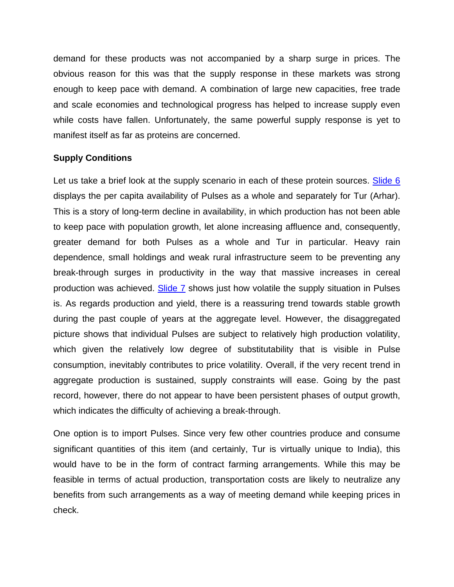demand for these products was not accompanied by a sharp surge in prices. The obvious reason for this was that the supply response in these markets was strong enough to keep pace with demand. A combination of large new capacities, free trade and scale economies and technological progress has helped to increase supply even while costs have fallen. Unfortunately, the same powerful supply response is yet to manifest itself as far as proteins are concerned.

# **Supply Conditions**

Let us take a brief look at the supply scenario in each of these protein sources. [Slide 6](http://rbidocs.rbi.org.in/rdocs/content/PDFs/261010Slide_6.pdf) displays the per capita availability of Pulses as a whole and separately for Tur (Arhar). This is a story of long-term decline in availability, in which production has not been able to keep pace with population growth, let alone increasing affluence and, consequently, greater demand for both Pulses as a whole and Tur in particular. Heavy rain dependence, small holdings and weak rural infrastructure seem to be preventing any break-through surges in productivity in the way that massive increases in cereal production was achieved. [Slide 7](http://rbidocs.rbi.org.in/rdocs/content/PDFs/261010Slide_7.pdf) shows just how volatile the supply situation in Pulses is. As regards production and yield, there is a reassuring trend towards stable growth during the past couple of years at the aggregate level. However, the disaggregated picture shows that individual Pulses are subject to relatively high production volatility, which given the relatively low degree of substitutability that is visible in Pulse consumption, inevitably contributes to price volatility. Overall, if the very recent trend in aggregate production is sustained, supply constraints will ease. Going by the past record, however, there do not appear to have been persistent phases of output growth, which indicates the difficulty of achieving a break-through.

One option is to import Pulses. Since very few other countries produce and consume significant quantities of this item (and certainly, Tur is virtually unique to India), this would have to be in the form of contract farming arrangements. While this may be feasible in terms of actual production, transportation costs are likely to neutralize any benefits from such arrangements as a way of meeting demand while keeping prices in check.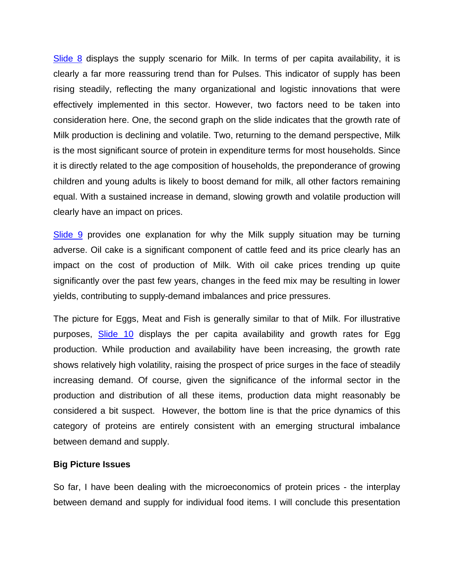[Slide 8](http://rbidocs.rbi.org.in/rdocs/content/PDFs/261010Slide_8.pdf) displays the supply scenario for Milk. In terms of per capita availability, it is clearly a far more reassuring trend than for Pulses. This indicator of supply has been rising steadily, reflecting the many organizational and logistic innovations that were effectively implemented in this sector. However, two factors need to be taken into consideration here. One, the second graph on the slide indicates that the growth rate of Milk production is declining and volatile. Two, returning to the demand perspective, Milk is the most significant source of protein in expenditure terms for most households. Since it is directly related to the age composition of households, the preponderance of growing children and young adults is likely to boost demand for milk, all other factors remaining equal. With a sustained increase in demand, slowing growth and volatile production will clearly have an impact on prices.

[Slide 9](http://rbidocs.rbi.org.in/rdocs/content/PDFs/261010Slide_9.pdf) provides one explanation for why the Milk supply situation may be turning adverse. Oil cake is a significant component of cattle feed and its price clearly has an impact on the cost of production of Milk. With oil cake prices trending up quite significantly over the past few years, changes in the feed mix may be resulting in lower yields, contributing to supply-demand imbalances and price pressures.

The picture for Eggs, Meat and Fish is generally similar to that of Milk. For illustrative purposes, [Slide 10](http://rbidocs.rbi.org.in/rdocs/content/PDFs/261010Slide_10.pdf) displays the per capita availability and growth rates for Egg production. While production and availability have been increasing, the growth rate shows relatively high volatility, raising the prospect of price surges in the face of steadily increasing demand. Of course, given the significance of the informal sector in the production and distribution of all these items, production data might reasonably be considered a bit suspect. However, the bottom line is that the price dynamics of this category of proteins are entirely consistent with an emerging structural imbalance between demand and supply.

### **Big Picture Issues**

So far, I have been dealing with the microeconomics of protein prices - the interplay between demand and supply for individual food items. I will conclude this presentation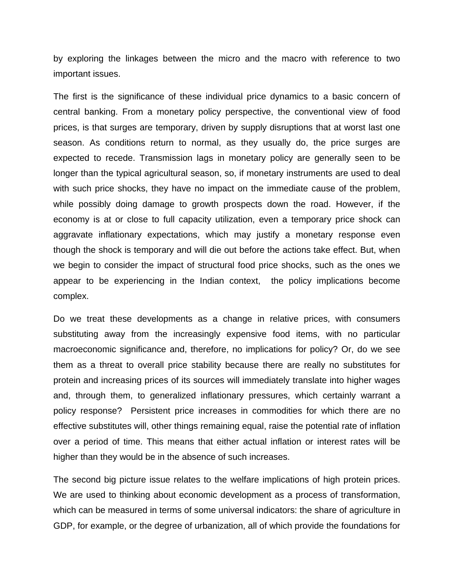by exploring the linkages between the micro and the macro with reference to two important issues.

The first is the significance of these individual price dynamics to a basic concern of central banking. From a monetary policy perspective, the conventional view of food prices, is that surges are temporary, driven by supply disruptions that at worst last one season. As conditions return to normal, as they usually do, the price surges are expected to recede. Transmission lags in monetary policy are generally seen to be longer than the typical agricultural season, so, if monetary instruments are used to deal with such price shocks, they have no impact on the immediate cause of the problem, while possibly doing damage to growth prospects down the road. However, if the economy is at or close to full capacity utilization, even a temporary price shock can aggravate inflationary expectations, which may justify a monetary response even though the shock is temporary and will die out before the actions take effect. But, when we begin to consider the impact of structural food price shocks, such as the ones we appear to be experiencing in the Indian context, the policy implications become complex.

Do we treat these developments as a change in relative prices, with consumers substituting away from the increasingly expensive food items, with no particular macroeconomic significance and, therefore, no implications for policy? Or, do we see them as a threat to overall price stability because there are really no substitutes for protein and increasing prices of its sources will immediately translate into higher wages and, through them, to generalized inflationary pressures, which certainly warrant a policy response? Persistent price increases in commodities for which there are no effective substitutes will, other things remaining equal, raise the potential rate of inflation over a period of time. This means that either actual inflation or interest rates will be higher than they would be in the absence of such increases.

The second big picture issue relates to the welfare implications of high protein prices. We are used to thinking about economic development as a process of transformation, which can be measured in terms of some universal indicators: the share of agriculture in GDP, for example, or the degree of urbanization, all of which provide the foundations for